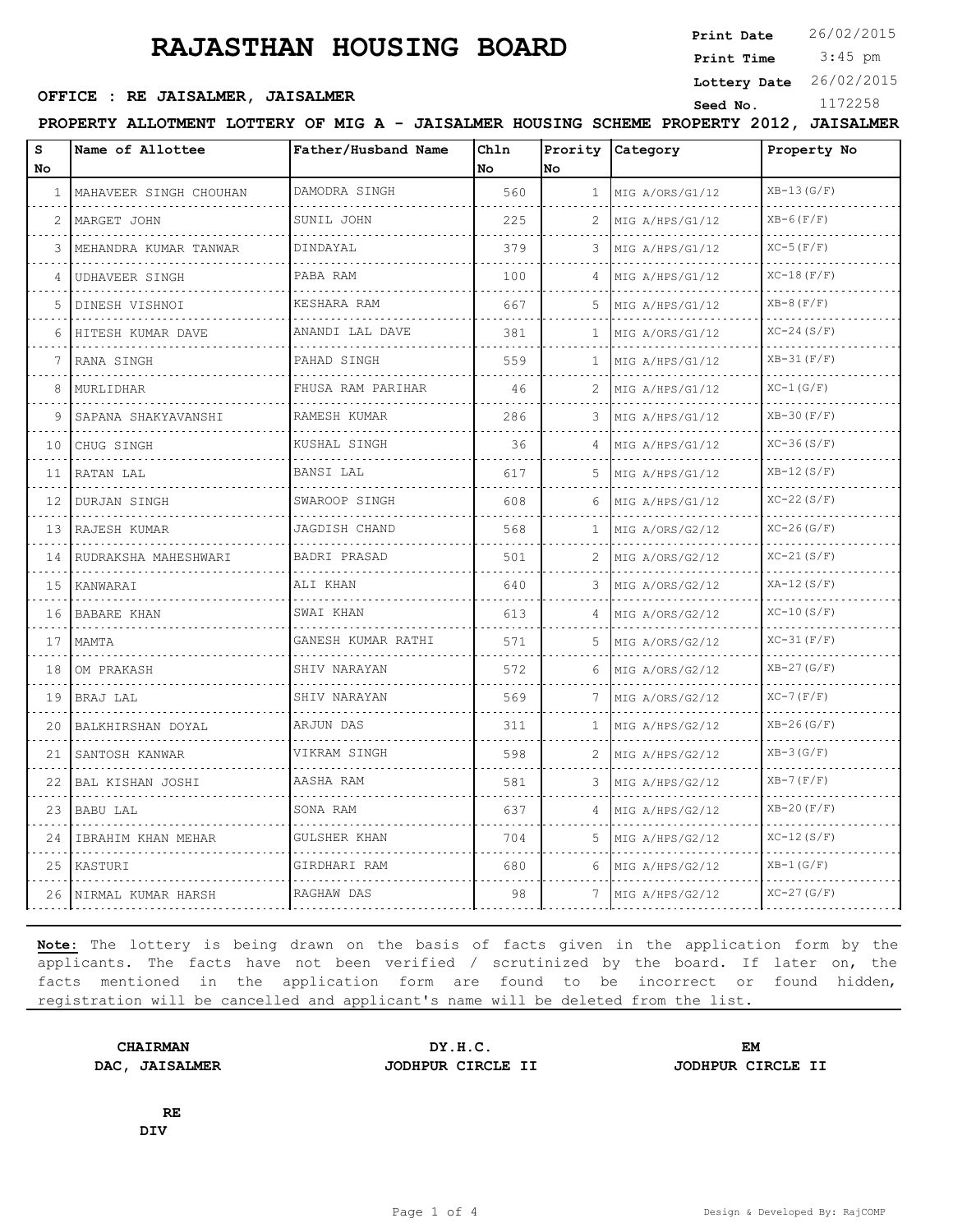# **RAJASTHAN HOUSING BOARD**

**Print Date**  $26/02/2015$ 

#### **SEPTICE : RE JAISALMER, JAISALMER Seed No.** 1172258

 3:45 pm **Print Time**

**Lottery Date** 26/02/2015

**PROPERTY ALLOTMENT LOTTERY OF MIG A - JAISALMER HOUSING SCHEME PROPERTY 2012, JAISALMER**

| s            | Name of Allottee        | Father/Husband Name       | Chln |              | Prority Category     | Property No      |
|--------------|-------------------------|---------------------------|------|--------------|----------------------|------------------|
| No           |                         |                           | No.  | lNo          |                      |                  |
| $\mathbf{1}$ | MAHAVEER SINGH CHOUHAN  | DAMODRA SINGH             | 560  | $\mathbf{1}$ | MIG A/ORS/G1/12      | $XB-13(G/F)$     |
| 2            | MARGET JOHN             | SUNIL JOHN                | 225  | 2            | MIG A/HPS/G1/12      | $XB-6(F/F)$      |
| 3            | MEHANDRA KUMAR TANWAR   | DINDAYAL                  | 379  | 3            | MIG A/HPS/G1/12      | $XC-5$ $(F/F)$   |
| 4            | UDHAVEER SINGH          | PABA RAM                  | 100  | 4            | MIG A/HPS/G1/12      | $XC-18(F/F)$     |
| 5            | DINESH VISHNOI<br>.     | KESHARA RAM               | 667  | 5            | MIG A/HPS/G1/12      | $XB-8(F/F)$      |
| 6            | HITESH KUMAR DAVE       | ANANDI LAL DAVE           | 381  | $\mathbf{1}$ | MIG A/ORS/G1/12      | $XC-24(S/F)$     |
| 7            | RANA SINGH              | .<br>PAHAD SINGH          | 559  | 1            | MIG A/HPS/G1/12      | $XB-31(F/F)$     |
| 8            | MURLIDHAR               | FHUSA RAM PARIHAR         | 46   | 2            | MIG A/HPS/G1/12      | $XC-1(G/F)$      |
| 9            | SAPANA SHAKYAVANSHI     | RAMESH KUMAR<br>.         | 286  | 3            | MIG A/HPS/G1/12      | $XB-30(F/F)$     |
| 10           | CHUG SINGH              | KUSHAL SINGH              | 36   | 4            | MIG A/HPS/G1/12      | $XC-36(S/F)$     |
| 11           | RATAN LAL               | BANSI LAL                 | 617  | 5.           | MIG A/HPS/G1/12      | $XB-12(S/F)$     |
| 12           | DURJAN SINGH<br>.       | SWAROOP SINGH             | 608  | 6            | MIG A/HPS/G1/12      | $XC-22(S/F)$     |
| 13           | RAJESH KUMAR<br>.       | JAGDISH CHAND<br><u>.</u> | 568  | 1            | MIG A/ORS/G2/12<br>. | $XC-26(G/F)$     |
| 14           | RUDRAKSHA MAHESHWARI    | BADRI PRASAD              | 501  | 2            | MIG A/ORS/G2/12      | $XC-21(S/F)$     |
| 15           | KANWARAI                | ALI KHAN                  | 640  | 3            | MIG A/ORS/G2/12      | $XA-12(S/F)$     |
| 16           | BABARE KHAN             | SWAI KHAN<br>.            | 613  | 4            | MIG A/ORS/G2/12<br>. | $XC-10(S/F)$     |
| 17           | MAMTA                   | GANESH KUMAR RATHI        | 571  | 5.           | MIG A/ORS/G2/12      | $XC-31(F/F)$     |
| 18           | OM PRAKASH              | SHIV NARAYAN              | 572  | 6            | MIG A/ORS/G2/12      | $XB-27(G/F)$     |
|              | 19 BRAJ LAL             | SHIV NARAYAN<br>.         | 569  | 7            | MIG A/ORS/G2/12      | $XC-7$ ( $F/F$ ) |
| 20           | BALKHIRSHAN DOYAL       | ARJUN DAS                 | 311  | 1            | MIG A/HPS/G2/12      | $XB-26(G/F)$     |
| 21           | SANTOSH KANWAR          | VIKRAM SINGH              | 598  | 2            | MIG A/HPS/G2/12      | $XB-3(G/F)$      |
| 22           | BAL KISHAN JOSHI        | AASHA RAM                 | 581  | 3            | MIG A/HPS/G2/12      | $XB-7(F/F)$      |
| 23           | <b>BABU LAL</b>         | SONA RAM                  | 637  | 4            | .<br>MIG A/HPS/G2/12 | $XB-20(F/F)$     |
| 24           | IBRAHIM KHAN MEHAR      | GULSHER KHAN              | 704  | 5            | MIG A/HPS/G2/12      | $XC-12(S/F)$     |
|              | 25 KASTURI              | GIRDHARI RAM              | 680  | 6            | MIG A/HPS/G2/12      | $XB-1(G/F)$      |
|              | 26   NIRMAL KUMAR HARSH | RAGHAW DAS                | 98   |              | MIG A/HPS/G2/12      | $XC-27(G/F)$     |

**Note:** The lottery is being drawn on the basis of facts given in the application form by the applicants. The facts have not been verified / scrutinized by the board. If later on, the facts mentioned in the application form are found to be incorrect or found hidden, registration will be cancelled and applicant's name will be deleted from the list.

**DAC, JAISALMER JODHPUR CIRCLE II JODHPUR CIRCLE II**

**CHAIRMAN DY.H.C. EM**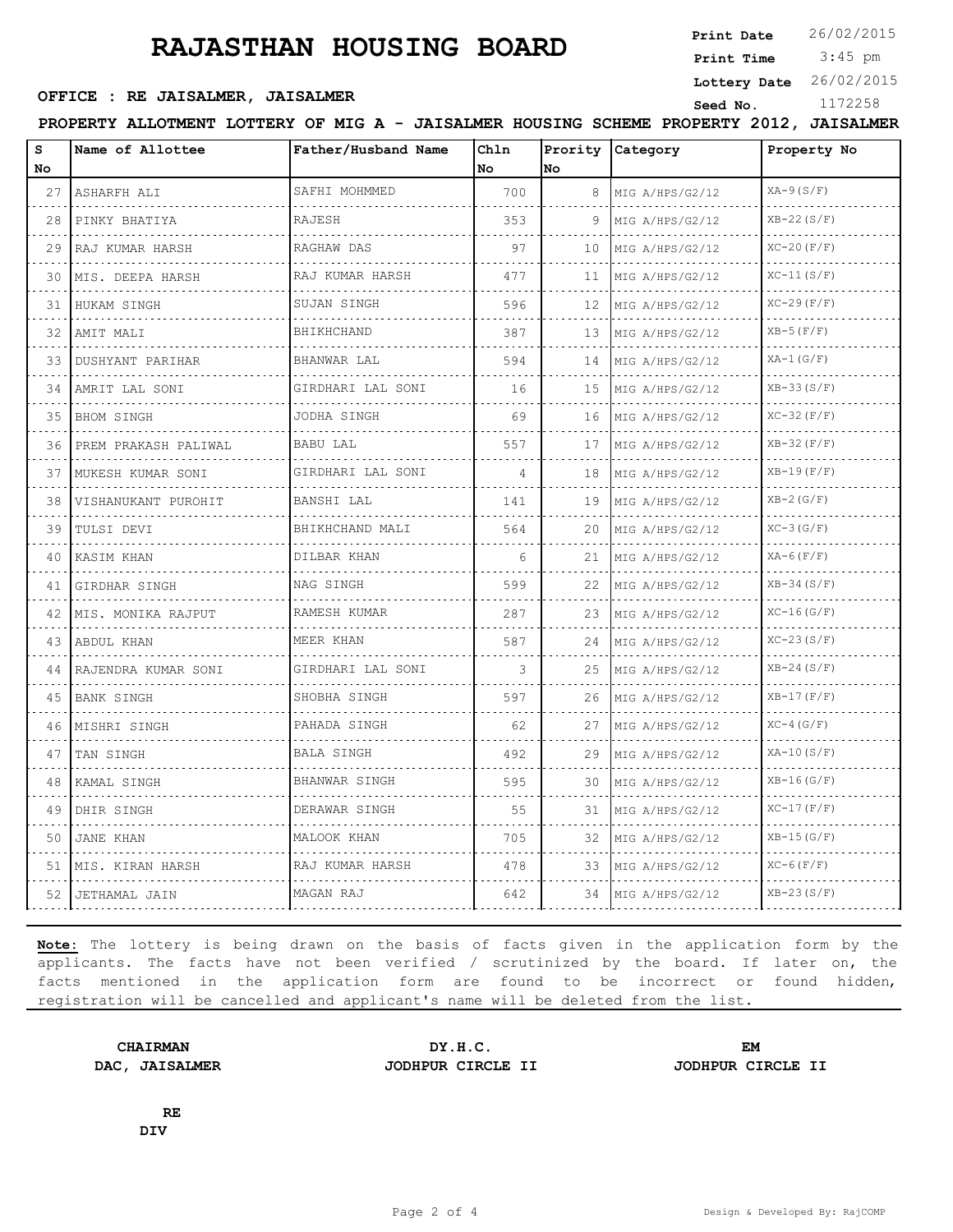# **RAJASTHAN HOUSING BOARD**

**Print Date**  $26/02/2015$ 

 3:45 pm **Print Time**

**Lottery Date** 26/02/2015

#### **SEPTICE : RE JAISALMER, JAISALMER Seed No.** 1172258

**PROPERTY ALLOTMENT LOTTERY OF MIG A - JAISALMER HOUSING SCHEME PROPERTY 2012, JAISALMER**

| s<br>No | Name of Allottee       | Father/Husband Name  | Chln<br>No. | No. | Prority Category     | Property No      |
|---------|------------------------|----------------------|-------------|-----|----------------------|------------------|
| 27      | ASHARFH ALI<br>.       | SAFHI MOHMMED        | 700         | 8   | MIG A/HPS/G2/12      | $XA-9(S/F)$<br>. |
| 28      | PINKY BHATIYA          | RAJESH               | 353         | 9   | MIG A/HPS/G2/12      | $XB-22(S/F)$     |
| 29      | RAJ KUMAR HARSH        | RAGHAW DAS           | 97          | 10  | MIG A/HPS/G2/12      | $XC-20$ $(F/F)$  |
| 30      | MIS. DEEPA HARSH       | RAJ KUMAR HARSH<br>. | 477         | 11  | MIG A/HPS/G2/12<br>. | $XC-11(S/F)$     |
| 31      | HUKAM SINGH            | SUJAN SINGH          | 596         | 12  | MIG A/HPS/G2/12      | $XC-29(F/F)$     |
| 32      | AMIT MALI<br>.         | BHIKHCHAND<br>.      | 387         | 13  | MIG A/HPS/G2/12<br>. | $XB-5(F/F)$      |
| 33      | DUSHYANT PARIHAR       | BHANWAR LAL          | 594         | 14  | MIG A/HPS/G2/12      | $XA-1(G/F)$      |
| 34      | AMRIT LAL SONI         | GIRDHARI LAL SONI    | 16          | 15  | MIG A/HPS/G2/12      | $XB-33(S/F)$     |
| 35      | <b>BHOM SINGH</b><br>. | JODHA SINGH          | 69          | 16  | MIG A/HPS/G2/12      | $XC-32(F/F)$     |
| 36.     | PREM PRAKASH PALIWAL   | BABU LAL             | 557         | 17  | MIG A/HPS/G2/12      | $XB-32(F/F)$     |
| 37      | MUKESH KUMAR SONI      | GIRDHARI LAL SONI    | 4           | 18  | MIG A/HPS/G2/12      | $XB-19(F/F)$     |
| 38      | VISHANUKANT PUROHIT    | BANSHI LAL<br>.      | 141         | 19  | MIG A/HPS/G2/12<br>. | $XB-2(G/F)$      |
| 39      | TULSI DEVI             | BHIKHCHAND MALI      | 564         | 20  | MIG A/HPS/G2/12      | $XC-3(G/F)$      |
| 40      | KASIM KHAN             | DILBAR KHAN          | 6           | 21  | MIG A/HPS/G2/12      | $XA-6(F/F)$      |
| 41      | GIRDHAR SINGH          | NAG SINGH            | 599         | 22  | MIG A/HPS/G2/12      | $XB-34(S/F)$     |
| 42      | IMIS. MONIKA RAJPUT    | RAMESH KUMAR         | 287         | 23  | MIG A/HPS/G2/12      | $XC-16(G/F)$     |
| 43      | ABDUL KHAN             | MEER KHAN            | 587         | 24  | MIG A/HPS/G2/12<br>. | $XC-23(S/F)$     |
| 44      | RAJENDRA KUMAR SONI    | GIRDHARI LAL SONI    | 3           | 25  | MIG A/HPS/G2/12      | $XB-24(S/F)$     |
| 45      | BANK SINGH             | SHOBHA SINGH         | 597         | 26  | MIG A/HPS/G2/12      | $XB-17(F/F)$     |
| 46      | MISHRI SINGH           | PAHADA SINGH         | 62          | 27  | MIG A/HPS/G2/12      | $XC-4$ ( $G/F$ ) |
| 47      | TAN SINGH              | <b>BALA SINGH</b>    | 492         | 29  | MIG A/HPS/G2/12      | $XA-10(S/F)$     |
| 48      | KAMAL SINGH            | BHANWAR SINGH        | 595         | 30  | MIG A/HPS/G2/12      | $XB-16(G/F)$     |
| 49      | DHIR SINGH             | DERAWAR SINGH        | 55          | 31  | MIG A/HPS/G2/12      | $XC-17(F/F)$     |
| 50      | JANE KHAN              | MALOOK KHAN          | 705         | 32  | MIG A/HPS/G2/12      | $XB-15(G/F)$     |
|         | 51 IMIS. KIRAN HARSH   | RAJ KUMAR HARSH      | 478         | 33  | MIG A/HPS/G2/12      | $XC-6$ ( $F/F$ ) |
|         | 52   JETHAMAL JAIN     | MAGAN RAJ            | 642         |     | 34   MIG A/HPS/G2/12 | $XB-23(S/F)$     |

**Note:** The lottery is being drawn on the basis of facts given in the application form by the applicants. The facts have not been verified / scrutinized by the board. If later on, the facts mentioned in the application form are found to be incorrect or found hidden, registration will be cancelled and applicant's name will be deleted from the list.

**DAC, JAISALMER JODHPUR CIRCLE II JODHPUR CIRCLE II**

**CHAIRMAN DY.H.C. EM**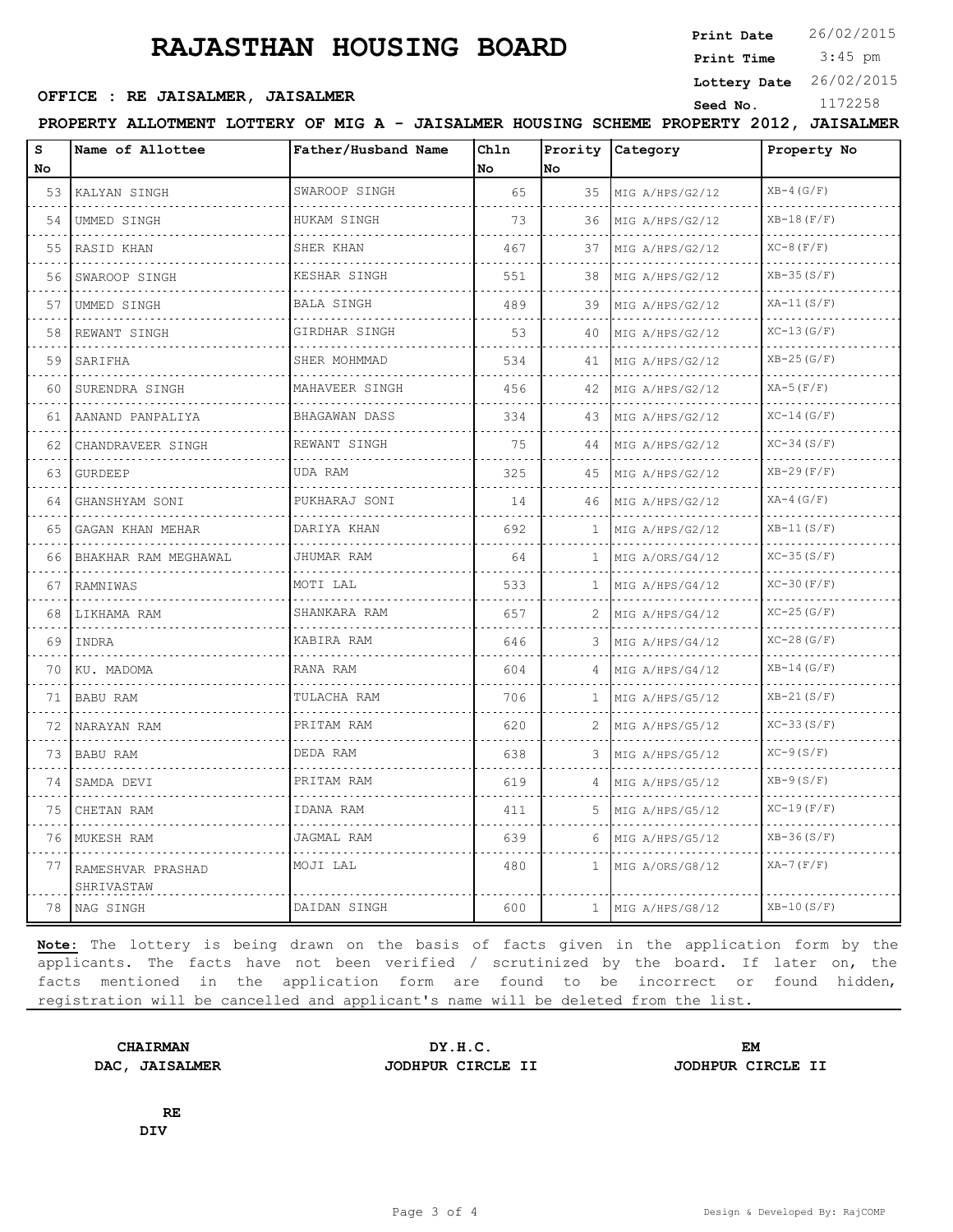# **RAJASTHAN HOUSING BOARD**

**Print Date**  $26/02/2015$ 

 3:45 pm **Print Time**

#### **SEPTICE : RE JAISALMER, JAISALMER Seed No.** 1172258

**Lottery Date** 26/02/2015

**PROPERTY ALLOTMENT LOTTERY OF MIG A - JAISALMER HOUSING SCHEME PROPERTY 2012, JAISALMER**

| S<br>No | Name of Allottee                | Father/Husband Name       | Chln<br>No | Prority<br>No | Category                  | Property No    |
|---------|---------------------------------|---------------------------|------------|---------------|---------------------------|----------------|
| 53      | KALYAN SINGH                    | SWAROOP SINGH             | 65         | 35            | MIG A/HPS/G2/12           | $XB-4(G/F)$    |
| 54      | UMMED SINGH                     | HUKAM SINGH               | 73         | 36            | .<br>MIG A/HPS/G2/12      | $XB-18(F/F)$   |
| 55      | RASID KHAN                      | SHER KHAN                 | 467        | 37            | .<br>MIG A/HPS/G2/12      | $XC-8$ $(F/F)$ |
| 56      | SWAROOP SINGH                   | KESHAR SINGH              | 551        | 38            | MIG A/HPS/G2/12           | $XB-35(S/F)$   |
| 57      | UMMED SINGH                     | BALA SINGH                | 489        | 39            | MIG A/HPS/G2/12           | $XA-11(S/F)$   |
| 58      | REWANT SINGH                    | GIRDHAR SINGH             | 53         | 40            | .<br>MIG A/HPS/G2/12<br>. | $XC-13(G/F)$   |
| 59      | SARIFHA                         | SHER MOHMMAD<br>.         | 534        | 41            | MIG A/HPS/G2/12           | $XB-25(G/F)$   |
| 60      | SURENDRA SINGH                  | MAHAVEER SINGH            | 456        | 42            | MIG A/HPS/G2/12           | $XA-5(F/F)$    |
| 61      | AANAND PANPALIYA<br>.           | <b>BHAGAWAN DASS</b><br>. | 334        | 43            | MIG A/HPS/G2/12<br>.      | $XC-14(G/F)$   |
| 62      | CHANDRAVEER SINGH               | REWANT SINGH              | 75         | 44            | MIG A/HPS/G2/12           | $XC-34(S/F)$   |
| 63.     | GURDEEP                         | UDA RAM                   | 325        | 45            | MIG A/HPS/G2/12           | $XB-29(F/F)$   |
| 64      | GHANSHYAM SONI<br>.             | PUKHARAJ SONI             | 14         | 46            | MIG A/HPS/G2/12<br>.      | $XA-4(G/F)$    |
| 65      | GAGAN KHAN MEHAR                | DARIYA KHAN               | 692        | $\mathbf{1}$  | MIG A/HPS/G2/12           | $XB-11(S/F)$   |
| 66      | BHAKHAR RAM MEGHAWAL            | JHUMAR RAM                | 64         | 1             | MIG A/ORS/G4/12           | $XC-35(S/F)$   |
| 67      | RAMNIWAS                        | MOTI LAL                  | 533        | $\mathbf{1}$  | MIG A/HPS/G4/12<br>.      | $XC-30(F/F)$   |
| 68      | LIKHAMA RAM                     | SHANKARA RAM              | 657        | 2             | MIG A/HPS/G4/12           | $XC-25(G/F)$   |
| 69      | INDRA                           | KABIRA RAM                | 646        | 3             | MIG A/HPS/G4/12           | $XC-28(G/F)$   |
| 70      | KU. MADOMA                      | RANA RAM                  | 604        | 4             | MIG A/HPS/G4/12<br>.      | $XB-14(G/F)$   |
| 71      | <b>BABU RAM</b>                 | TULACHA RAM               | 706        | 1             | MIG A/HPS/G5/12           | $XB-21(S/F)$   |
| 72      | NARAYAN RAM                     | PRITAM RAM                | 620        | 2             | MIG A/HPS/G5/12           | $XC-33(S/F)$   |
| 73.     | BABU RAM                        | DEDA RAM                  | 638        | 3             | MIG A/HPS/G5/12           | $XC-9(S/F)$    |
| 74      | SAMDA DEVI                      | PRITAM RAM                | 619        | 4             | MIG A/HPS/G5/12           | $XB-9(S/F)$    |
| 75      | CHETAN RAM                      | IDANA RAM                 | 411        | 5.            | MIG A/HPS/G5/12           | $XC-19(F/F)$   |
| 76      | MUKESH RAM                      | JAGMAL RAM                | 639        | 6             | MIG A/HPS/G5/12           | $XB-36(S/F)$   |
| 77      | RAMESHVAR PRASHAD<br>SHRIVASTAW | MOJI LAL                  | 480        | $\mathbf{1}$  | MIG A/ORS/G8/12           | $XA-7(F/F)$    |
| 78      | NAG SINGH                       | DAIDAN SINGH              | 600        | $\mathbf{1}$  | MIG A/HPS/G8/12           | $XB-10(S/F)$   |

**Note:** The lottery is being drawn on the basis of facts given in the application form by the applicants. The facts have not been verified / scrutinized by the board. If later on, the facts mentioned in the application form are found to be incorrect or found hidden, registration will be cancelled and applicant's name will be deleted from the list.

**CHAIRMAN DY.H.C. EM DAC, JAISALMER JODHPUR CIRCLE II JODHPUR CIRCLE II**